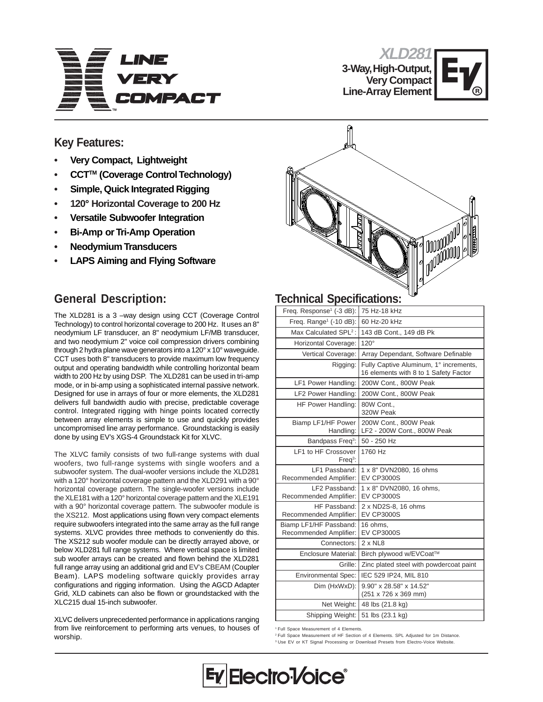

**3-Way, High-Output, Very Compact Line-Array Element**



mood | VOOVV<sup>OO</sup><br>| <sub>N</sub>OO<sup>OOOOO</sup>

## **Key Features:**

- **• Very Compact, Lightweight**
- **• CCTTM (Coverage Control Technology)**
- **• Simple, Quick Integrated Rigging**
- **120° Horizontal Coverage to 200 Hz**
- **• Versatile Subwoofer Integration**
- **• Bi-Amp or Tri-Amp Operation**
- **• Neodymium Transducers**
- **• LAPS Aiming and Flying Software**

## **General Description:**

The XLD281 is a 3 –way design using CCT (Coverage Control Technology) to control horizontal coverage to 200 Hz. It uses an 8" neodymium LF transducer, an 8" neodymium LF/MB transducer, and two neodymium 2" voice coil compression drivers combining through 2 hydra plane wave generators into a 120° x 10° waveguide. CCT uses both 8" transducers to provide maximum low frequency output and operating bandwidth while controlling horizontal beam width to 200 Hz by using DSP. The XLD281 can be used in tri-amp mode, or in bi-amp using a sophisticated internal passive network. Designed for use in arrays of four or more elements, the XLD281 delivers full bandwidth audio with precise, predictable coverage control. Integrated rigging with hinge points located correctly between array elements is simple to use and quickly provides uncompromised line array performance. Groundstacking is easily done by using EV's XGS-4 Groundstack Kit for XLVC.

The XLVC family consists of two full-range systems with dual woofers, two full-range systems with single woofers and a subwoofer system. The dual-woofer versions include the XLD281 with a 120° horizontal coverage pattern and the XLD291 with a 90° horizontal coverage pattern. The single-woofer versions include the XLE181 with a 120° horizontal coverage pattern and the XLE191 with a 90° horizontal coverage pattern. The subwoofer module is the XS212. Most applications using flown very compact elements require subwoofers integrated into the same array as the full range systems. XLVC provides three methods to conveniently do this. The XS212 sub woofer module can be directly arrayed above, or below XLD281 full range systems. Where vertical space is limited sub woofer arrays can be created and flown behind the XLD281 full range array using an additional grid and EV's CBEAM (Coupler Beam). LAPS modeling software quickly provides array configurations and rigging information. Using the AGCD Adapter Grid, XLD cabinets can also be flown or groundstacked with the XLC215 dual 15-inch subwoofer.

XLVC delivers unprecedented performance in applications ranging from live reinforcement to performing arts venues, to houses of worship.



| commodi opoomodiono.                             |                                                                                 |
|--------------------------------------------------|---------------------------------------------------------------------------------|
| Freq. Response <sup>1</sup> (-3 dB):             | 75 Hz-18 kHz                                                                    |
| Freq. Range <sup>1</sup> (-10 dB):               | 60 Hz-20 kHz                                                                    |
| Max Calculated SPL <sup>2</sup> :                | 143 dB Cont., 149 dB Pk                                                         |
| Horizontal Coverage:                             | $120^\circ$                                                                     |
| Vertical Coverage:                               | Array Dependant, Software Definable                                             |
| Rigging:                                         | Fully Captive Aluminum, 1° increments,<br>16 elements with 8 to 1 Safety Factor |
| LF1 Power Handling:                              | 200W Cont., 800W Peak                                                           |
| LF2 Power Handling:                              | 200W Cont., 800W Peak                                                           |
| HF Power Handling:                               | 80W Cont<br>320W Peak                                                           |
| Biamp LF1/HF Power<br>Handling:                  | 200W Cont., 800W Peak<br>LF2 - 200W Cont., 800W Peak                            |
| Bandpass Freq <sup>3</sup> :                     | 50 - 250 Hz                                                                     |
| LF1 to HF Crossover<br>$Freq3$ :                 | 1760 Hz                                                                         |
| LF1 Passband:<br>Recommended Amplifier:          | 1 x 8" DVN2080, 16 ohms<br><b>EV CP3000S</b>                                    |
| LF2 Passband:<br>Recommended Amplifier:          | 1 x 8" DVN2080, 16 ohms,<br><b>EV CP3000S</b>                                   |
| HF Passband:<br>Recommended Amplifier:           | 2 x ND2S-8, 16 ohms<br><b>EV CP3000S</b>                                        |
| Biamp LF1/HF Passband:<br>Recommended Amplifier: | 16 ohms,<br><b>EV CP3000S</b>                                                   |
| Connectors:                                      | $2 \times NLS$                                                                  |
| <b>Enclosure Material:</b>                       | Birch plywood w/EVCoat™                                                         |
| Grille:                                          | Zinc plated steel with powdercoat paint                                         |
| <b>Environmental Spec:</b>                       | IEC 529 IP24, MIL 810                                                           |
| Dim (HxWxD):                                     | 9.90" x 28.58" x 14.52"<br>(251 x 726 x 369 mm)                                 |
| Net Weight:                                      | 48 lbs (21.8 kg)                                                                |
| Shipping Weight:                                 | 51 lbs (23.1 kg)                                                                |

1 Full Space Measurement of 4 Elements.

2 Full Space Measurement of HF Section of 4 Elements. SPL Adjusted for 1m Distance. <sup>3</sup> Use EV or KT Signal Processing or Download Presets from Electro-Voice Website.

## Electro<sup>1</sup>/oice<sup>®</sup>